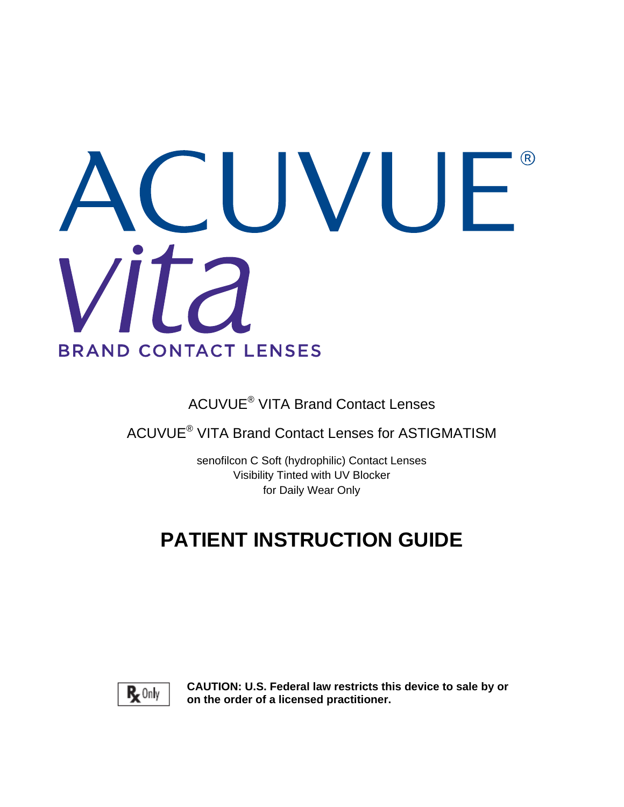# $(R)$ VU ÷, **BRAND CONTACT LENSES**

ACUVUE® VITA Brand Contact Lenses

ACUVUE® VITA Brand Contact Lenses for ASTIGMATISM

senofilcon C Soft (hydrophilic) Contact Lenses Visibility Tinted with UV Blocker for Daily Wear Only

# **PATIENT INSTRUCTION GUIDE**



**CAUTION: U.S. Federal law restricts this device to sale by or on the order of a licensed practitioner.**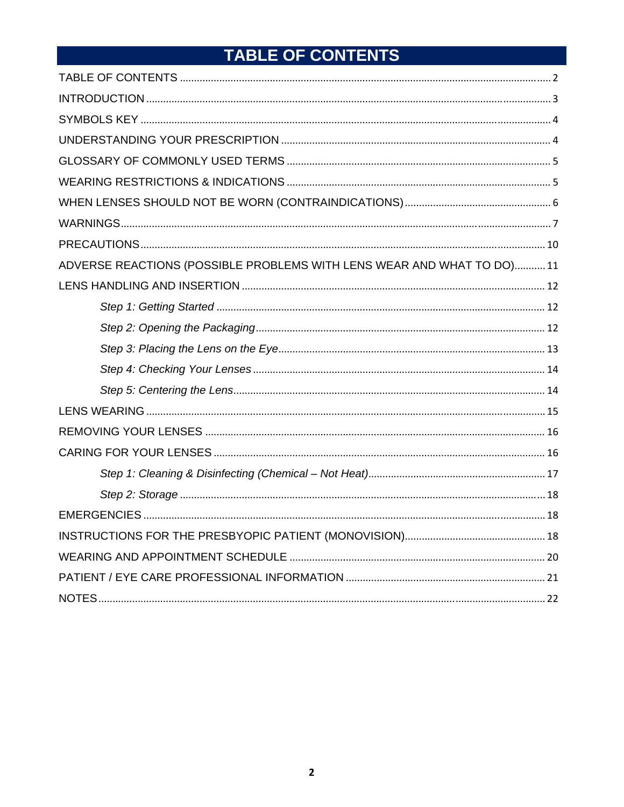# TABLE OF CONTENTS

| ADVERSE REACTIONS (POSSIBLE PROBLEMS WITH LENS WEAR AND WHAT TO DO)11 |
|-----------------------------------------------------------------------|
|                                                                       |
|                                                                       |
|                                                                       |
|                                                                       |
|                                                                       |
|                                                                       |
|                                                                       |
|                                                                       |
|                                                                       |
|                                                                       |
|                                                                       |
|                                                                       |
|                                                                       |
|                                                                       |
|                                                                       |
|                                                                       |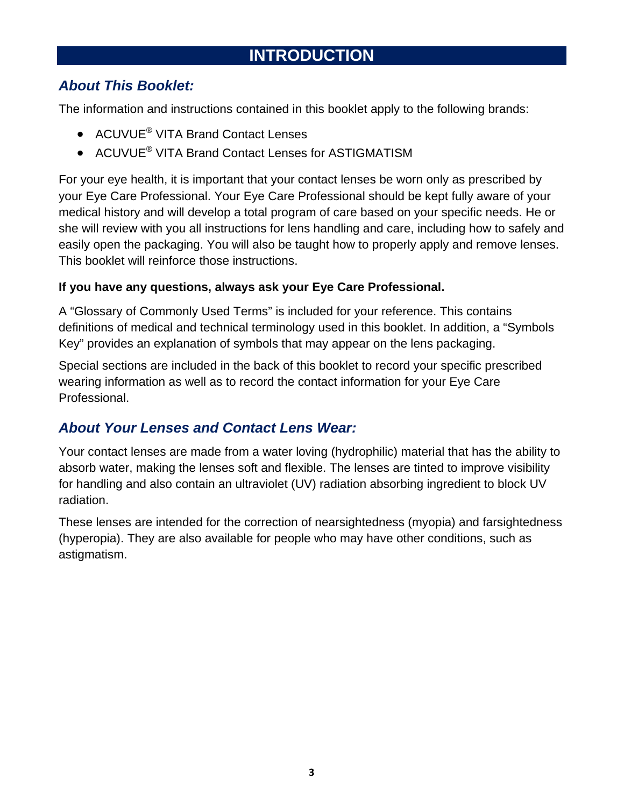## **INTRODUCTION**

## *About This Booklet:*

The information and instructions contained in this booklet apply to the following brands:

- ACUVUE<sup>®</sup> VITA Brand Contact Lenses
- ACUVUE<sup>®</sup> VITA Brand Contact Lenses for ASTIGMATISM

For your eye health, it is important that your contact lenses be worn only as prescribed by your Eye Care Professional. Your Eye Care Professional should be kept fully aware of your medical history and will develop a total program of care based on your specific needs. He or she will review with you all instructions for lens handling and care, including how to safely and easily open the packaging. You will also be taught how to properly apply and remove lenses. This booklet will reinforce those instructions.

#### **If you have any questions, always ask your Eye Care Professional.**

A "Glossary of Commonly Used Terms" is included for your reference. This contains definitions of medical and technical terminology used in this booklet. In addition, a "Symbols Key" provides an explanation of symbols that may appear on the lens packaging.

Special sections are included in the back of this booklet to record your specific prescribed wearing information as well as to record the contact information for your Eye Care Professional.

## *About Your Lenses and Contact Lens Wear:*

Your contact lenses are made from a water loving (hydrophilic) material that has the ability to absorb water, making the lenses soft and flexible. The lenses are tinted to improve visibility for handling and also contain an ultraviolet (UV) radiation absorbing ingredient to block UV radiation.

These lenses are intended for the correction of nearsightedness (myopia) and farsightedness (hyperopia). They are also available for people who may have other conditions, such as astigmatism.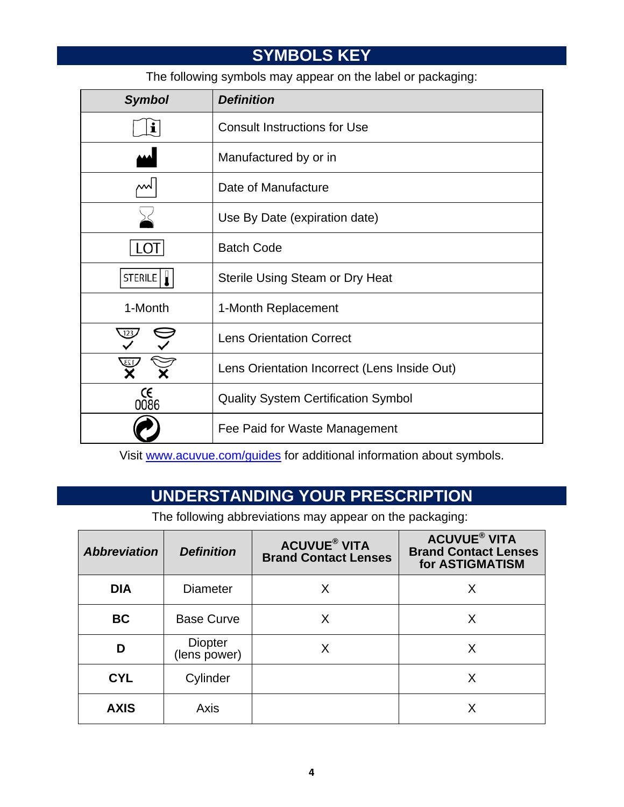## **SYMBOLS KEY**

The following symbols may appear on the label or packaging:

| <b>Symbol</b>                                | <b>Definition</b>                          |  |  |
|----------------------------------------------|--------------------------------------------|--|--|
| ı                                            | <b>Consult Instructions for Use</b>        |  |  |
|                                              | Manufactured by or in                      |  |  |
| мN                                           | Date of Manufacture                        |  |  |
|                                              | Use By Date (expiration date)              |  |  |
| $\vert$ ( )                                  | <b>Batch Code</b>                          |  |  |
| STERILE                                      | Sterile Using Steam or Dry Heat            |  |  |
| 1-Month<br>1-Month Replacement               |                                            |  |  |
| <b>Lens Orientation Correct</b>              |                                            |  |  |
| Lens Orientation Incorrect (Lens Inside Out) |                                            |  |  |
| $\operatorname*{CE}_{0086}$                  | <b>Quality System Certification Symbol</b> |  |  |
|                                              | Fee Paid for Waste Management              |  |  |

Visit www.acuvue.com/guides for additional information about symbols.

## **UNDERSTANDING YOUR PRESCRIPTION**

The following abbreviations may appear on the packaging:

| <b>Abbreviation</b> | <b>Definition</b>       | <b>ACUVUE® VITA</b><br><b>Brand Contact Lenses</b> | <b>ACUVUE<sup>®</sup> VITA</b><br><b>Brand Contact Lenses</b><br>for ASTIGMATISM |
|---------------------|-------------------------|----------------------------------------------------|----------------------------------------------------------------------------------|
| <b>DIA</b>          | <b>Diameter</b>         | x                                                  | X                                                                                |
| <b>BC</b>           | <b>Base Curve</b>       | х                                                  |                                                                                  |
| D                   | Diopter<br>(lens power) | Χ                                                  | X                                                                                |
| <b>CYL</b>          | Cylinder                |                                                    | X                                                                                |
| <b>AXIS</b>         | Axis                    |                                                    |                                                                                  |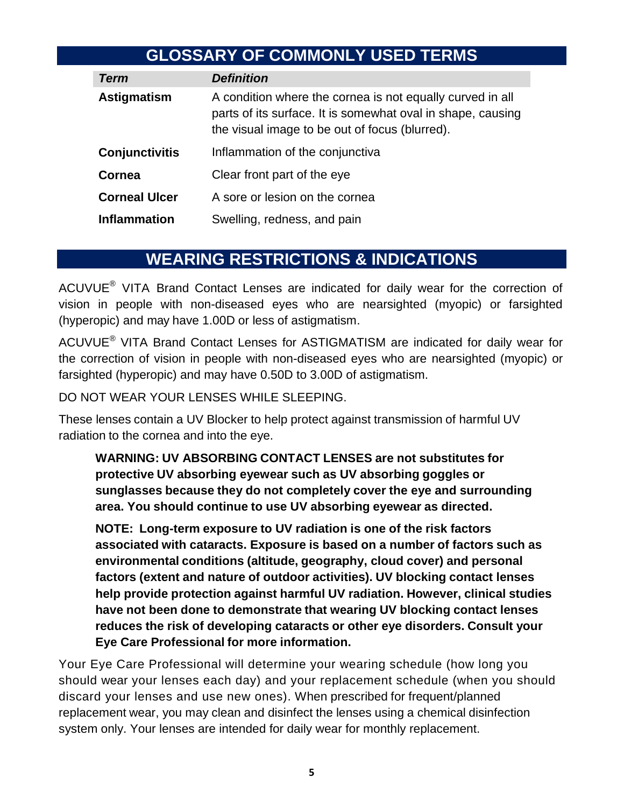## **GLOSSARY OF COMMONLY USED TERMS**

| Term                                  | <b>Definition</b>                                                                                                                                                          |
|---------------------------------------|----------------------------------------------------------------------------------------------------------------------------------------------------------------------------|
| Astigmatism                           | A condition where the cornea is not equally curved in all<br>parts of its surface. It is somewhat oval in shape, causing<br>the visual image to be out of focus (blurred). |
| <b>Conjunctivitis</b>                 | Inflammation of the conjunctiva                                                                                                                                            |
| Clear front part of the eye<br>Cornea |                                                                                                                                                                            |
| <b>Corneal Ulcer</b>                  | A sore or lesion on the cornea                                                                                                                                             |
| <b>Inflammation</b>                   | Swelling, redness, and pain                                                                                                                                                |

## **WEARING RESTRICTIONS & INDICATIONS**

ACUVUE® VITA Brand Contact Lenses are indicated for daily wear for the correction of vision in people with non-diseased eyes who are nearsighted (myopic) or farsighted (hyperopic) and may have 1.00D or less of astigmatism.

ACUVUE® VITA Brand Contact Lenses for ASTIGMATISM are indicated for daily wear for the correction of vision in people with non-diseased eyes who are nearsighted (myopic) or farsighted (hyperopic) and may have 0.50D to 3.00D of astigmatism.

DO NOT WEAR YOUR LENSES WHILE SLEEPING.

These lenses contain a UV Blocker to help protect against transmission of harmful UV radiation to the cornea and into the eye.

**WARNING: UV ABSORBING CONTACT LENSES are not substitutes for protective UV absorbing eyewear such as UV absorbing goggles or sunglasses because they do not completely cover the eye and surrounding area. You should continue to use UV absorbing eyewear as directed.**

**NOTE: Long-term exposure to UV radiation is one of the risk factors associated with cataracts. Exposure is based on a number of factors such as environmental conditions (altitude, geography, cloud cover) and personal factors (extent and nature of outdoor activities). UV blocking contact lenses help provide protection against harmful UV radiation. However, clinical studies have not been done to demonstrate that wearing UV blocking contact lenses reduces the risk of developing cataracts or other eye disorders. Consult your Eye Care Professional for more information.**

Your Eye Care Professional will determine your wearing schedule (how long you should wear your lenses each day) and your replacement schedule (when you should discard your lenses and use new ones). When prescribed for frequent/planned replacement wear, you may clean and disinfect the lenses using a chemical disinfection system only. Your lenses are intended for daily wear for monthly replacement.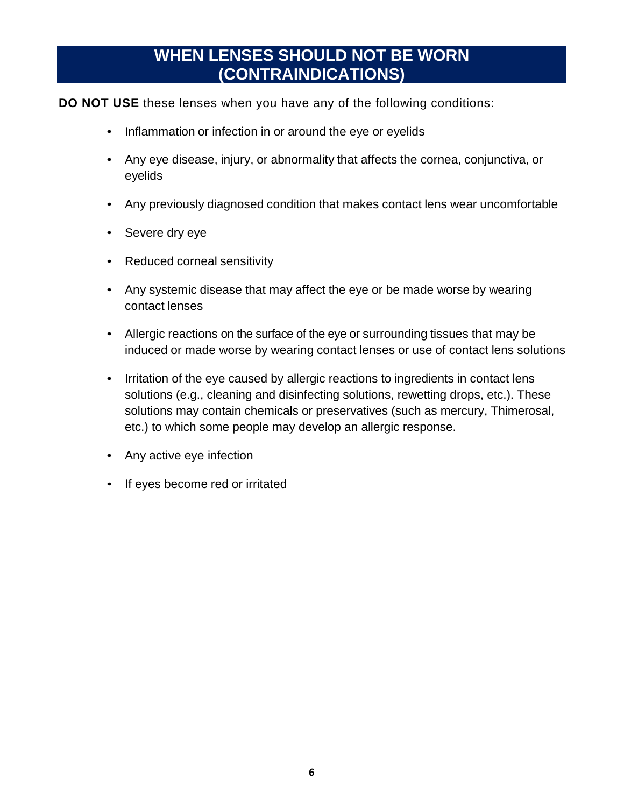## **WHEN LENSES SHOULD NOT BE WORN (CONTRAINDICATIONS)**

#### **DO NOT USE** these lenses when you have any of the following conditions:

- Inflammation or infection in or around the eye or eyelids
- Any eye disease, injury, or abnormality that affects the cornea, conjunctiva, or eyelids
- Any previously diagnosed condition that makes contact lens wear uncomfortable
- Severe dry eye
- Reduced corneal sensitivity
- Any systemic disease that may affect the eye or be made worse by wearing contact lenses
- Allergic reactions on the surface of the eye or surrounding tissues that may be induced or made worse by wearing contact lenses or use of contact lens solutions
- Irritation of the eye caused by allergic reactions to ingredients in contact lens solutions (e.g., cleaning and disinfecting solutions, rewetting drops, etc.). These solutions may contain chemicals or preservatives (such as mercury, Thimerosal, etc.) to which some people may develop an allergic response.
- Any active eye infection
- If eyes become red or irritated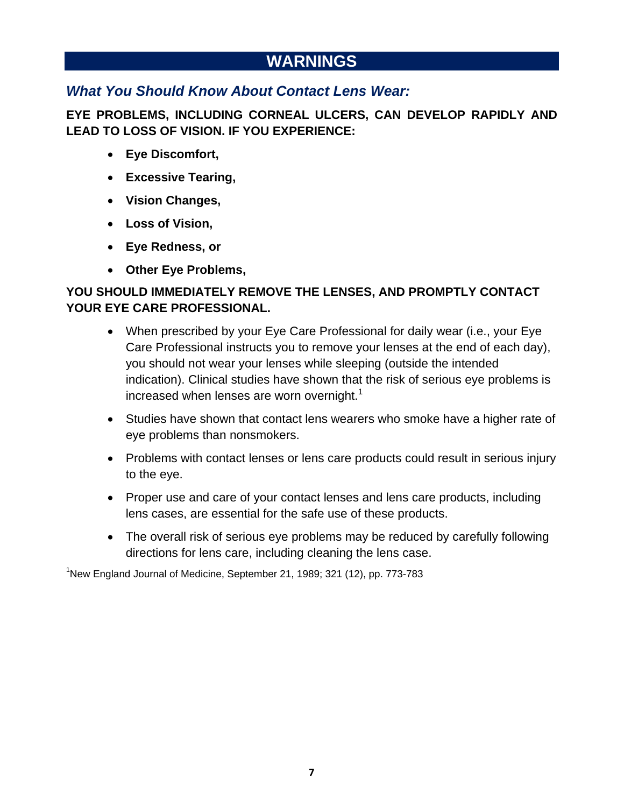## **WARNINGS**

#### *What You Should Know About Contact Lens Wear:*

**EYE PROBLEMS, INCLUDING CORNEAL ULCERS, CAN DEVELOP RAPIDLY AND LEAD TO LOSS OF VISION. IF YOU EXPERIENCE:** 

- **Eye Discomfort,**
- **Excessive Tearing,**
- **Vision Changes,**
- **Loss of Vision,**
- **Eye Redness, or**
- **Other Eye Problems,**

#### **YOU SHOULD IMMEDIATELY REMOVE THE LENSES, AND PROMPTLY CONTACT YOUR EYE CARE PROFESSIONAL.**

- When prescribed by your Eye Care Professional for daily wear (i.e., your Eye Care Professional instructs you to remove your lenses at the end of each day), you should not wear your lenses while sleeping (outside the intended indication). Clinical studies have shown that the risk of serious eye problems is increased when lenses are worn overnight.<sup>1</sup>
- Studies have shown that contact lens wearers who smoke have a higher rate of eye problems than nonsmokers.
- Problems with contact lenses or lens care products could result in serious injury to the eye.
- Proper use and care of your contact lenses and lens care products, including lens cases, are essential for the safe use of these products.
- The overall risk of serious eye problems may be reduced by carefully following directions for lens care, including cleaning the lens case.

<sup>1</sup>New England Journal of Medicine, September 21, 1989; 321 (12), pp. 773-783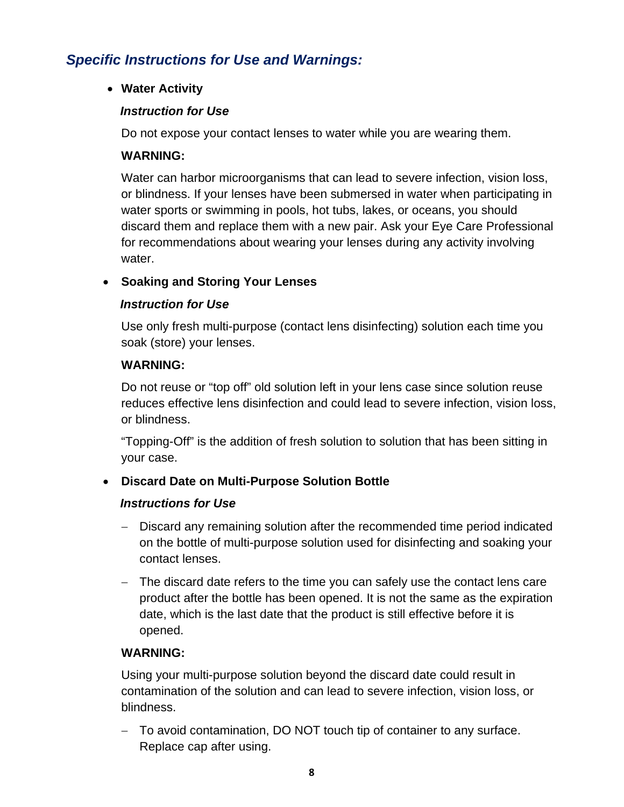#### *Specific Instructions for Use and Warnings:*

**Water Activity** 

#### *Instruction for Use*

Do not expose your contact lenses to water while you are wearing them.

#### **WARNING:**

Water can harbor microorganisms that can lead to severe infection, vision loss, or blindness. If your lenses have been submersed in water when participating in water sports or swimming in pools, hot tubs, lakes, or oceans, you should discard them and replace them with a new pair. Ask your Eye Care Professional for recommendations about wearing your lenses during any activity involving water.

#### **Soaking and Storing Your Lenses**

#### *Instruction for Use*

 Use only fresh multi-purpose (contact lens disinfecting) solution each time you soak (store) your lenses.

#### **WARNING:**

Do not reuse or "top off" old solution left in your lens case since solution reuse reduces effective lens disinfection and could lead to severe infection, vision loss, or blindness.

"Topping-Off" is the addition of fresh solution to solution that has been sitting in your case.

#### **Discard Date on Multi-Purpose Solution Bottle**

#### *Instructions for Use*

- Discard any remaining solution after the recommended time period indicated on the bottle of multi-purpose solution used for disinfecting and soaking your contact lenses.
- The discard date refers to the time you can safely use the contact lens care product after the bottle has been opened. It is not the same as the expiration date, which is the last date that the product is still effective before it is opened.

#### **WARNING:**

Using your multi-purpose solution beyond the discard date could result in contamination of the solution and can lead to severe infection, vision loss, or blindness.

- To avoid contamination, DO NOT touch tip of container to any surface. Replace cap after using.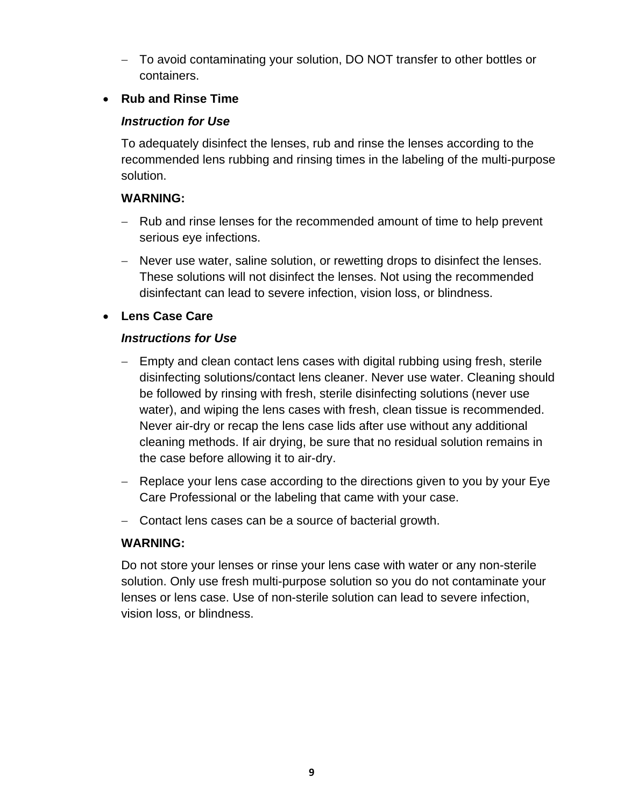To avoid contaminating your solution, DO NOT transfer to other bottles or containers.

#### **Rub and Rinse Time**

#### *Instruction for Use*

To adequately disinfect the lenses, rub and rinse the lenses according to the recommended lens rubbing and rinsing times in the labeling of the multi-purpose solution.

#### **WARNING:**

- Rub and rinse lenses for the recommended amount of time to help prevent serious eye infections.
- Never use water, saline solution, or rewetting drops to disinfect the lenses. These solutions will not disinfect the lenses. Not using the recommended disinfectant can lead to severe infection, vision loss, or blindness.

#### **Lens Case Care**

#### *Instructions for Use*

- Empty and clean contact lens cases with digital rubbing using fresh, sterile disinfecting solutions/contact lens cleaner. Never use water. Cleaning should be followed by rinsing with fresh, sterile disinfecting solutions (never use water), and wiping the lens cases with fresh, clean tissue is recommended. Never air-dry or recap the lens case lids after use without any additional cleaning methods. If air drying, be sure that no residual solution remains in the case before allowing it to air-dry.
- Replace your lens case according to the directions given to you by your Eye Care Professional or the labeling that came with your case.
- Contact lens cases can be a source of bacterial growth.

#### **WARNING:**

Do not store your lenses or rinse your lens case with water or any non-sterile solution. Only use fresh multi-purpose solution so you do not contaminate your lenses or lens case. Use of non-sterile solution can lead to severe infection, vision loss, or blindness.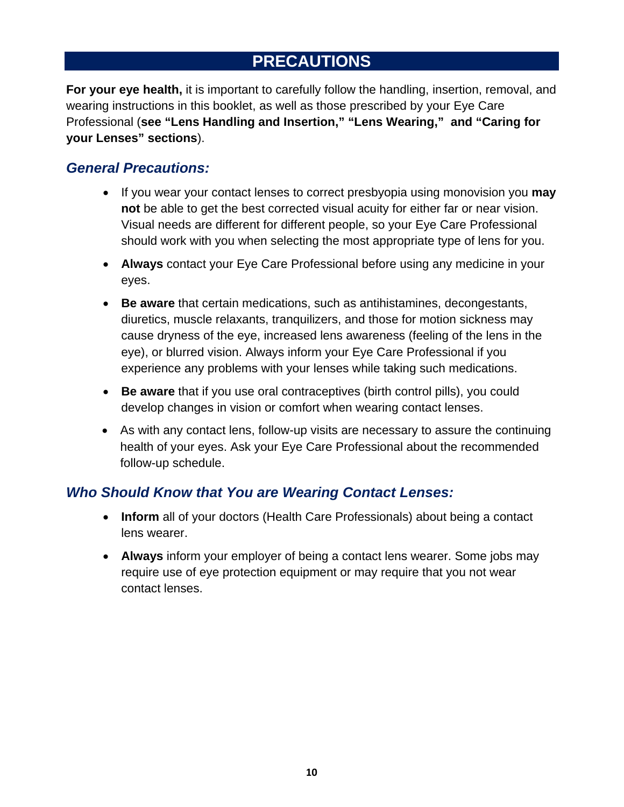## **PRECAUTIONS**

**For your eye health,** it is important to carefully follow the handling, insertion, removal, and wearing instructions in this booklet, as well as those prescribed by your Eye Care Professional (**see "Lens Handling and Insertion," "Lens Wearing," and "Caring for your Lenses" sections**).

#### *General Precautions:*

- If you wear your contact lenses to correct presbyopia using monovision you **may not** be able to get the best corrected visual acuity for either far or near vision. Visual needs are different for different people, so your Eye Care Professional should work with you when selecting the most appropriate type of lens for you.
- **Always** contact your Eye Care Professional before using any medicine in your eyes.
- **Be aware** that certain medications, such as antihistamines, decongestants, diuretics, muscle relaxants, tranquilizers, and those for motion sickness may cause dryness of the eye, increased lens awareness (feeling of the lens in the eye), or blurred vision. Always inform your Eye Care Professional if you experience any problems with your lenses while taking such medications.
- **Be aware** that if you use oral contraceptives (birth control pills), you could develop changes in vision or comfort when wearing contact lenses.
- As with any contact lens, follow-up visits are necessary to assure the continuing health of your eyes. Ask your Eye Care Professional about the recommended follow-up schedule.

#### *Who Should Know that You are Wearing Contact Lenses:*

- **Inform** all of your doctors (Health Care Professionals) about being a contact lens wearer.
- **Always** inform your employer of being a contact lens wearer. Some jobs may require use of eye protection equipment or may require that you not wear contact lenses.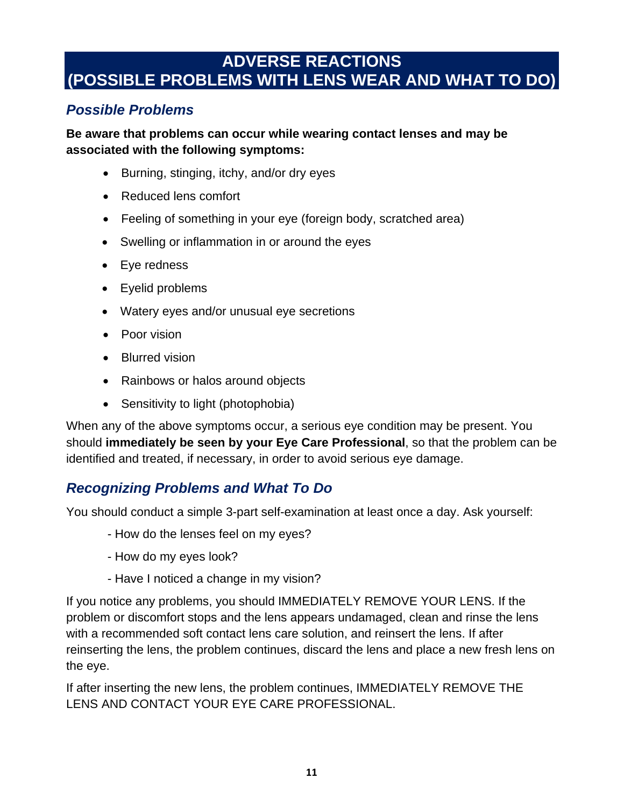## **ADVERSE REACTIONS (POSSIBLE PROBLEMS WITH LENS WEAR AND WHAT TO DO)**

#### *Possible Problems*

**Be aware that problems can occur while wearing contact lenses and may be associated with the following symptoms:** 

- Burning, stinging, itchy, and/or dry eyes
- Reduced lens comfort
- Feeling of something in your eye (foreign body, scratched area)
- Swelling or inflammation in or around the eyes
- Eye redness
- Eyelid problems
- Watery eyes and/or unusual eye secretions
- Poor vision
- Blurred vision
- Rainbows or halos around objects
- Sensitivity to light (photophobia)

When any of the above symptoms occur, a serious eye condition may be present. You should **immediately be seen by your Eye Care Professional**, so that the problem can be identified and treated, if necessary, in order to avoid serious eye damage.

## *Recognizing Problems and What To Do*

You should conduct a simple 3-part self-examination at least once a day. Ask yourself:

- How do the lenses feel on my eyes?
- How do my eyes look?
- Have I noticed a change in my vision?

If you notice any problems, you should IMMEDIATELY REMOVE YOUR LENS. If the problem or discomfort stops and the lens appears undamaged, clean and rinse the lens with a recommended soft contact lens care solution, and reinsert the lens. If after reinserting the lens, the problem continues, discard the lens and place a new fresh lens on the eye.

If after inserting the new lens, the problem continues, IMMEDIATELY REMOVE THE LENS AND CONTACT YOUR EYE CARE PROFESSIONAL.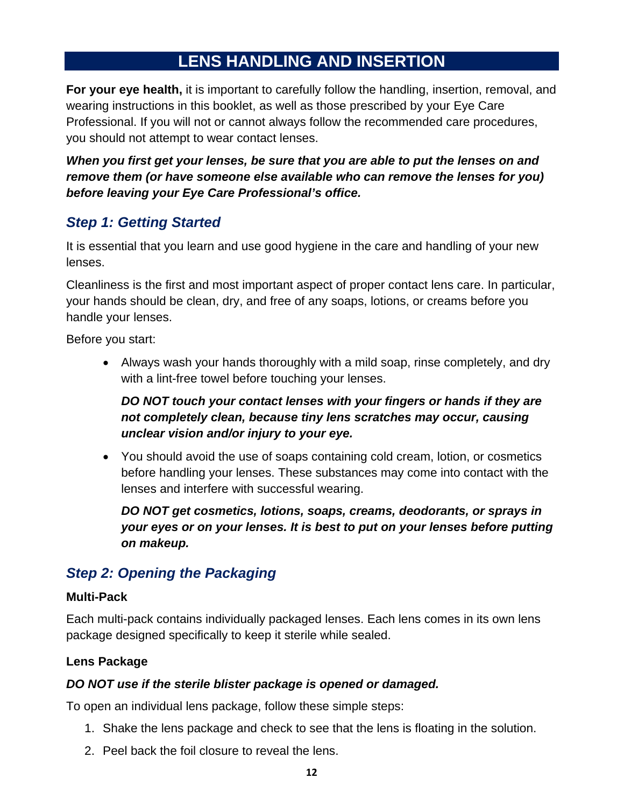## **LENS HANDLING AND INSERTION**

**For your eye health,** it is important to carefully follow the handling, insertion, removal, and wearing instructions in this booklet, as well as those prescribed by your Eye Care Professional. If you will not or cannot always follow the recommended care procedures, you should not attempt to wear contact lenses.

*When you first get your lenses, be sure that you are able to put the lenses on and remove them (or have someone else available who can remove the lenses for you) before leaving your Eye Care Professional's office.* 

#### *Step 1: Getting Started*

It is essential that you learn and use good hygiene in the care and handling of your new lenses.

Cleanliness is the first and most important aspect of proper contact lens care. In particular, your hands should be clean, dry, and free of any soaps, lotions, or creams before you handle your lenses.

Before you start:

 Always wash your hands thoroughly with a mild soap, rinse completely, and dry with a lint-free towel before touching your lenses.

#### *DO NOT touch your contact lenses with your fingers or hands if they are not completely clean, because tiny lens scratches may occur, causing unclear vision and/or injury to your eye.*

 You should avoid the use of soaps containing cold cream, lotion, or cosmetics before handling your lenses. These substances may come into contact with the lenses and interfere with successful wearing.

*DO NOT get cosmetics, lotions, soaps, creams, deodorants, or sprays in your eyes or on your lenses. It is best to put on your lenses before putting on makeup.* 

#### *Step 2: Opening the Packaging*

#### **Multi-Pack**

Each multi-pack contains individually packaged lenses. Each lens comes in its own lens package designed specifically to keep it sterile while sealed.

#### **Lens Package**

#### *DO NOT use if the sterile blister package is opened or damaged.*

To open an individual lens package, follow these simple steps:

- 1. Shake the lens package and check to see that the lens is floating in the solution.
- 2. Peel back the foil closure to reveal the lens.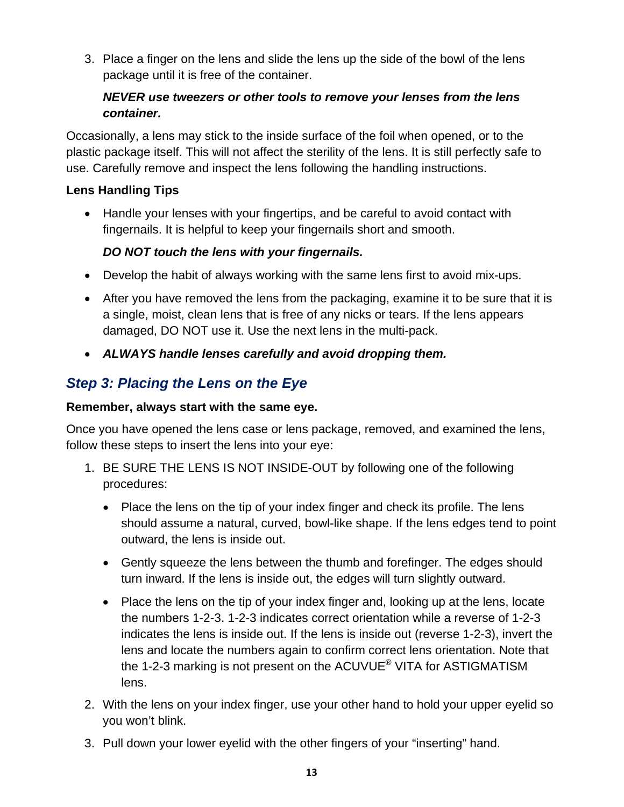3. Place a finger on the lens and slide the lens up the side of the bowl of the lens package until it is free of the container.

#### *NEVER use tweezers or other tools to remove your lenses from the lens container.*

Occasionally, a lens may stick to the inside surface of the foil when opened, or to the plastic package itself. This will not affect the sterility of the lens. It is still perfectly safe to use. Carefully remove and inspect the lens following the handling instructions.

#### **Lens Handling Tips**

• Handle your lenses with your fingertips, and be careful to avoid contact with fingernails. It is helpful to keep your fingernails short and smooth.

#### *DO NOT touch the lens with your fingernails.*

- Develop the habit of always working with the same lens first to avoid mix-ups.
- After you have removed the lens from the packaging, examine it to be sure that it is a single, moist, clean lens that is free of any nicks or tears. If the lens appears damaged, DO NOT use it. Use the next lens in the multi-pack.
- *ALWAYS handle lenses carefully and avoid dropping them.*

## *Step 3: Placing the Lens on the Eye*

#### **Remember, always start with the same eye.**

Once you have opened the lens case or lens package, removed, and examined the lens, follow these steps to insert the lens into your eye:

- 1. BE SURE THE LENS IS NOT INSIDE-OUT by following one of the following procedures:
	- Place the lens on the tip of your index finger and check its profile. The lens should assume a natural, curved, bowl-like shape. If the lens edges tend to point outward, the lens is inside out.
	- Gently squeeze the lens between the thumb and forefinger. The edges should turn inward. If the lens is inside out, the edges will turn slightly outward.
	- Place the lens on the tip of your index finger and, looking up at the lens, locate the numbers 1-2-3. 1-2-3 indicates correct orientation while a reverse of 1-2-3 indicates the lens is inside out. If the lens is inside out (reverse 1-2-3), invert the lens and locate the numbers again to confirm correct lens orientation. Note that the 1-2-3 marking is not present on the ACUVUE<sup>®</sup> VITA for ASTIGMATISM lens.
- 2. With the lens on your index finger, use your other hand to hold your upper eyelid so you won't blink.
- 3. Pull down your lower eyelid with the other fingers of your "inserting" hand.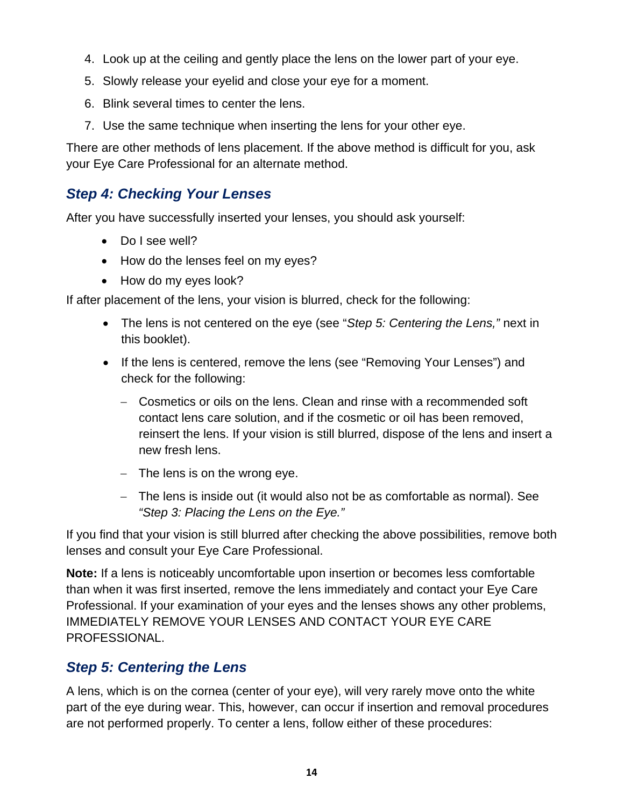- 4. Look up at the ceiling and gently place the lens on the lower part of your eye.
- 5. Slowly release your eyelid and close your eye for a moment.
- 6. Blink several times to center the lens.
- 7. Use the same technique when inserting the lens for your other eye.

There are other methods of lens placement. If the above method is difficult for you, ask your Eye Care Professional for an alternate method.

#### *Step 4: Checking Your Lenses*

After you have successfully inserted your lenses, you should ask yourself:

- Do I see well?
- How do the lenses feel on my eyes?
- How do my eyes look?

If after placement of the lens, your vision is blurred, check for the following:

- The lens is not centered on the eye (see "*Step 5: Centering the Lens,"* next in this booklet).
- If the lens is centered, remove the lens (see "Removing Your Lenses") and check for the following:
	- Cosmetics or oils on the lens. Clean and rinse with a recommended soft contact lens care solution, and if the cosmetic or oil has been removed, reinsert the lens. If your vision is still blurred, dispose of the lens and insert a new fresh lens.
	- $-$  The lens is on the wrong eye.
	- The lens is inside out (it would also not be as comfortable as normal). See *"Step 3: Placing the Lens on the Eye."*

If you find that your vision is still blurred after checking the above possibilities, remove both lenses and consult your Eye Care Professional.

**Note:** If a lens is noticeably uncomfortable upon insertion or becomes less comfortable than when it was first inserted, remove the lens immediately and contact your Eye Care Professional. If your examination of your eyes and the lenses shows any other problems, IMMEDIATELY REMOVE YOUR LENSES AND CONTACT YOUR EYE CARE PROFESSIONAL.

## *Step 5: Centering the Lens*

A lens, which is on the cornea (center of your eye), will very rarely move onto the white part of the eye during wear. This, however, can occur if insertion and removal procedures are not performed properly. To center a lens, follow either of these procedures: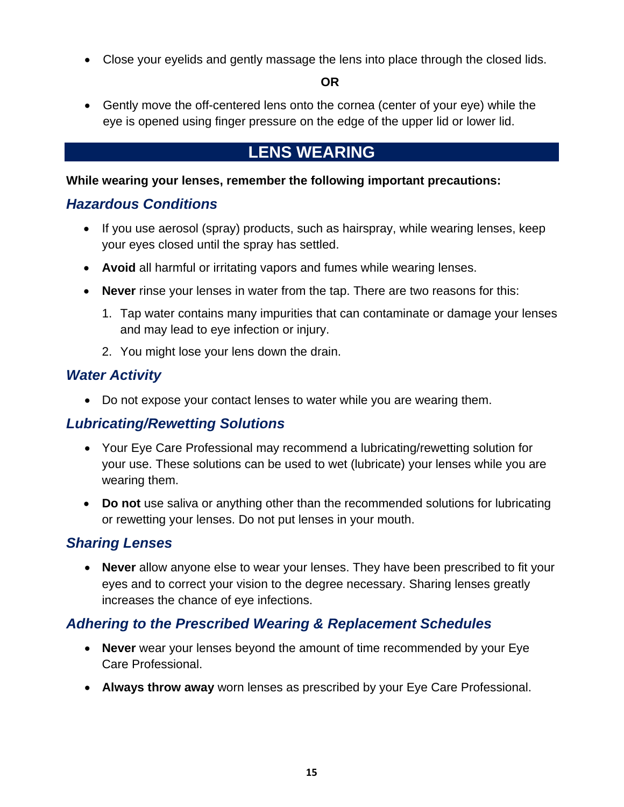Close your eyelids and gently massage the lens into place through the closed lids.

**OR** 

 Gently move the off-centered lens onto the cornea (center of your eye) while the eye is opened using finger pressure on the edge of the upper lid or lower lid.

## **LENS WEARING**

#### **While wearing your lenses, remember the following important precautions:**

#### *Hazardous Conditions*

- If you use aerosol (spray) products, such as hairspray, while wearing lenses, keep your eyes closed until the spray has settled.
- **Avoid** all harmful or irritating vapors and fumes while wearing lenses.
- **Never** rinse your lenses in water from the tap. There are two reasons for this:
	- 1. Tap water contains many impurities that can contaminate or damage your lenses and may lead to eye infection or injury.
	- 2. You might lose your lens down the drain.

#### *Water Activity*

Do not expose your contact lenses to water while you are wearing them.

#### *Lubricating/Rewetting Solutions*

- Your Eye Care Professional may recommend a lubricating/rewetting solution for your use. These solutions can be used to wet (lubricate) your lenses while you are wearing them.
- **Do not** use saliva or anything other than the recommended solutions for lubricating or rewetting your lenses. Do not put lenses in your mouth.

#### *Sharing Lenses*

 **Never** allow anyone else to wear your lenses. They have been prescribed to fit your eyes and to correct your vision to the degree necessary. Sharing lenses greatly increases the chance of eye infections.

#### *Adhering to the Prescribed Wearing & Replacement Schedules*

- **Never** wear your lenses beyond the amount of time recommended by your Eye Care Professional.
- **Always throw away** worn lenses as prescribed by your Eye Care Professional.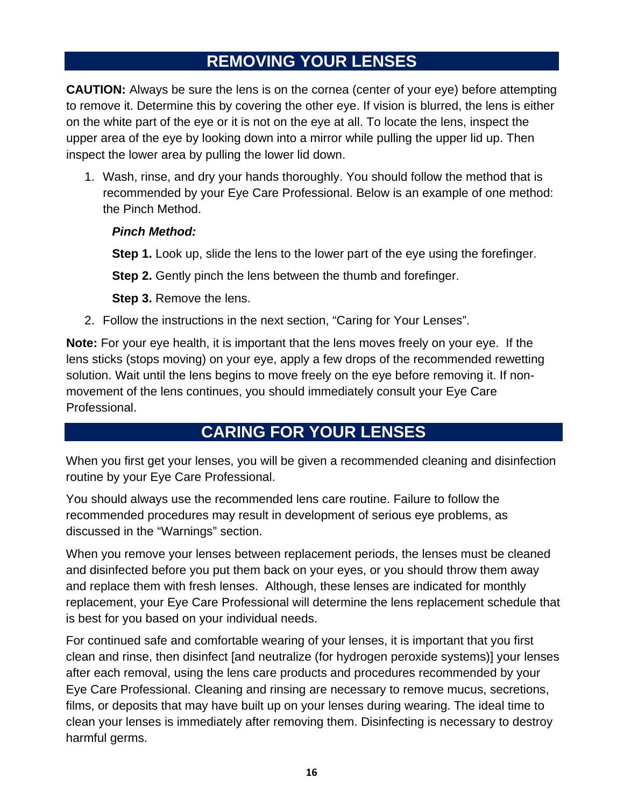## **REMOVING YOUR LENSES**

**CAUTION:** Always be sure the lens is on the cornea (center of your eye) before attempting to remove it. Determine this by covering the other eye. If vision is blurred, the lens is either on the white part of the eye or it is not on the eye at all. To locate the lens, inspect the upper area of the eye by looking down into a mirror while pulling the upper lid up. Then inspect the lower area by pulling the lower lid down.

1. Wash, rinse, and dry your hands thoroughly. You should follow the method that is recommended by your Eye Care Professional. Below is an example of one method: the Pinch Method.

#### *Pinch Method:*

**Step 1.** Look up, slide the lens to the lower part of the eye using the forefinger.

**Step 2.** Gently pinch the lens between the thumb and forefinger.

**Step 3.** Remove the lens.

2. Follow the instructions in the next section, "Caring for Your Lenses".

**Note:** For your eye health, it is important that the lens moves freely on your eye. If the lens sticks (stops moving) on your eye, apply a few drops of the recommended rewetting solution. Wait until the lens begins to move freely on the eye before removing it. If nonmovement of the lens continues, you should immediately consult your Eye Care Professional.

## **CARING FOR YOUR LENSES**

When you first get your lenses, you will be given a recommended cleaning and disinfection routine by your Eye Care Professional.

You should always use the recommended lens care routine. Failure to follow the recommended procedures may result in development of serious eye problems, as discussed in the "Warnings" section.

When you remove your lenses between replacement periods, the lenses must be cleaned and disinfected before you put them back on your eyes, or you should throw them away and replace them with fresh lenses. Although, these lenses are indicated for monthly replacement, your Eye Care Professional will determine the lens replacement schedule that is best for you based on your individual needs.

For continued safe and comfortable wearing of your lenses, it is important that you first clean and rinse, then disinfect [and neutralize (for hydrogen peroxide systems)] your lenses after each removal, using the lens care products and procedures recommended by your Eye Care Professional. Cleaning and rinsing are necessary to remove mucus, secretions, films, or deposits that may have built up on your lenses during wearing. The ideal time to clean your lenses is immediately after removing them. Disinfecting is necessary to destroy harmful germs.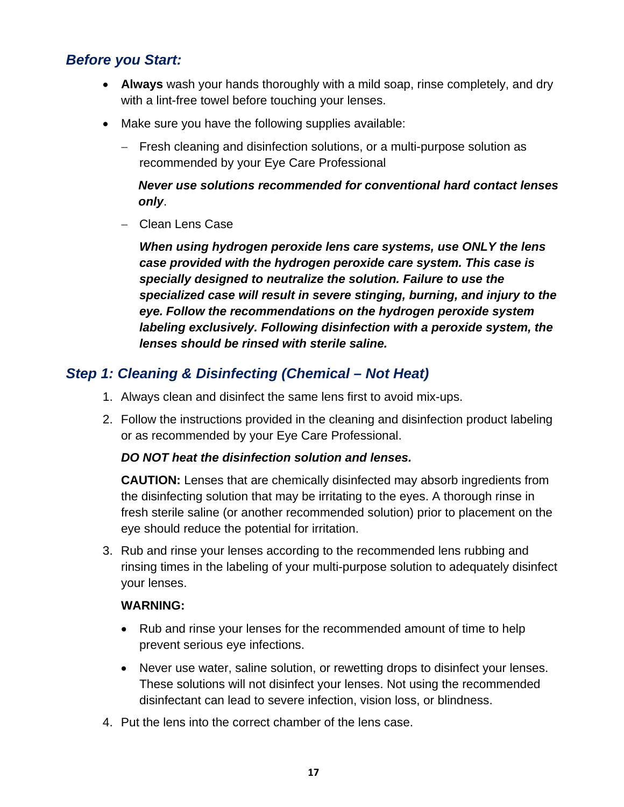#### *Before you Start:*

- *Gul Hando incroughly with a third soap*, **Always** wash your hands thoroughly with a mild soap, rinse completely, and dry with a lint-free towel before touching your lenses.
- Make sure you have the following supplies available:
	- Fresh cleaning and disinfection solutions, or a multi-purpose solution as recommended by your Eye Care Professional

#### *Never use solutions recommended for conventional hard contact lenses only*.

- Clean Lens Case

*When using hydrogen peroxide lens care systems, use ONLY the lens case provided with the hydrogen peroxide care system. This case is specially designed to neutralize the solution. Failure to use the specialized case will result in severe stinging, burning, and injury to the eye. Follow the recommendations on the hydrogen peroxide system labeling exclusively. Following disinfection with a peroxide system, the lenses should be rinsed with sterile saline.* 

#### *Step 1: Cleaning & Disinfecting (Chemical – Not Heat)*

- 1. Always clean and disinfect the same lens first to avoid mix-ups.
- 2. Follow the instructions provided in the cleaning and disinfection product labeling or as recommended by your Eye Care Professional.

#### *DO NOT heat the disinfection solution and lenses.*

**CAUTION:** Lenses that are chemically disinfected may absorb ingredients from the disinfecting solution that may be irritating to the eyes. A thorough rinse in fresh sterile saline (or another recommended solution) prior to placement on the eye should reduce the potential for irritation.

3. Rub and rinse your lenses according to the recommended lens rubbing and rinsing times in the labeling of your multi-purpose solution to adequately disinfect your lenses.

#### **WARNING:**

- Rub and rinse your lenses for the recommended amount of time to help prevent serious eye infections.
- Never use water, saline solution, or rewetting drops to disinfect your lenses. These solutions will not disinfect your lenses. Not using the recommended disinfectant can lead to severe infection, vision loss, or blindness.
- 4. Put the lens into the correct chamber of the lens case.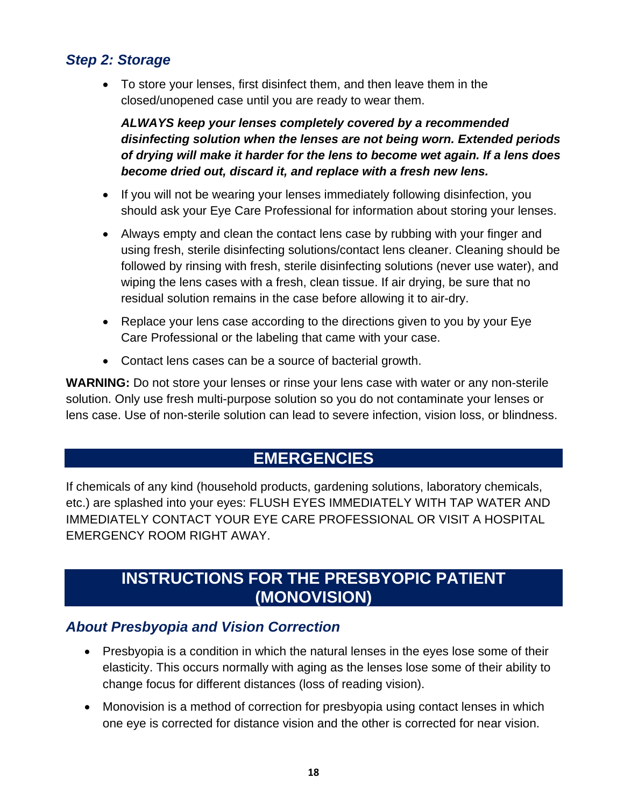#### *Step 2: Storage*

**GOOS, THOL CHOHNOCE THOM, CHO THOM TOO**  To store your lenses, first disinfect them, and then leave them in the closed/unopened case until you are ready to wear them.

*ALWAYS keep your lenses completely covered by a recommended disinfecting solution when the lenses are not being worn. Extended periods of drying will make it harder for the lens to become wet again. If a lens does become dried out, discard it, and replace with a fresh new lens.* 

- If you will not be wearing your lenses immediately following disinfection, you should ask your Eye Care Professional for information about storing your lenses.
- Always empty and clean the contact lens case by rubbing with your finger and using fresh, sterile disinfecting solutions/contact lens cleaner. Cleaning should be followed by rinsing with fresh, sterile disinfecting solutions (never use water), and wiping the lens cases with a fresh, clean tissue. If air drying, be sure that no residual solution remains in the case before allowing it to air-dry.
- Replace your lens case according to the directions given to you by your Eye Care Professional or the labeling that came with your case.
- Contact lens cases can be a source of bacterial growth.

**WARNING:** Do not store your lenses or rinse your lens case with water or any non-sterile solution. Only use fresh multi-purpose solution so you do not contaminate your lenses or lens case. Use of non-sterile solution can lead to severe infection, vision loss, or blindness.

## **EMERGENCIES**

If chemicals of any kind (household products, gardening solutions, laboratory chemicals, etc.) are splashed into your eyes: FLUSH EYES IMMEDIATELY WITH TAP WATER AND IMMEDIATELY CONTACT YOUR EYE CARE PROFESSIONAL OR VISIT A HOSPITAL EMERGENCY ROOM RIGHT AWAY.

## **INSTRUCTIONS FOR THE PRESBYOPIC PATIENT (MONOVISION)**

#### *About Presbyopia and Vision Correction*

- Presbyopia is a condition in which the natural lenses in the eyes lose some of their elasticity. This occurs normally with aging as the lenses lose some of their ability to change focus for different distances (loss of reading vision).
- Monovision is a method of correction for presbyopia using contact lenses in which one eye is corrected for distance vision and the other is corrected for near vision.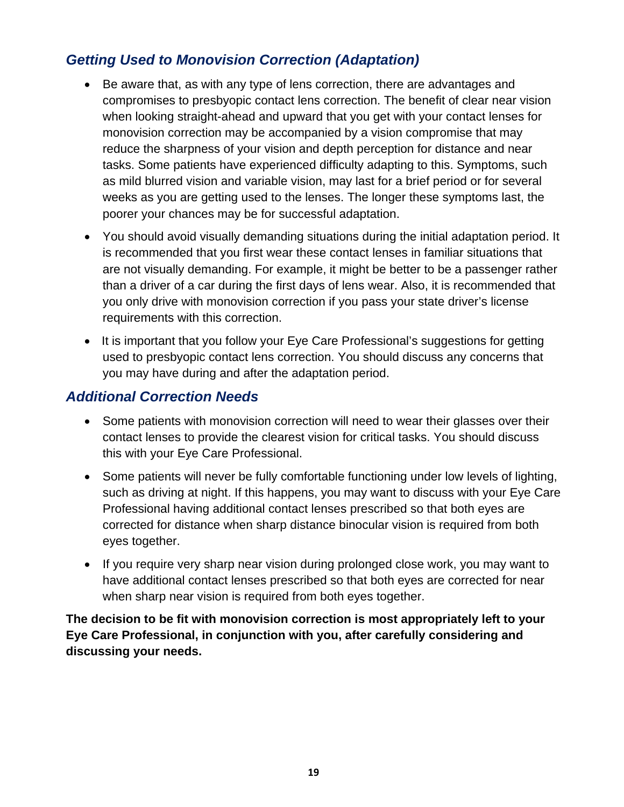## *Getting Used to Monovision Correction (Adaptation)*

- **GLOSSIFICAL TECHNICAL TECHNICAL TECHNICAL TECHNICAL TECHNICAL TECHNICAL TECHNICAL TECHNICAL TECHNICAL TECHNICAL TECHNICAL TECHNICAL TECHNICAL TECHNICAL TECHNICAL TECHNICAL TECHNICAL TECHNICAL TECHNICAL TECHNICAL TECHNICAL**  Be aware that, as with any type of lens correction, there are advantages and compromises to presbyopic contact lens correction. The benefit of clear near vision when looking straight-ahead and upward that you get with your contact lenses for monovision correction may be accompanied by a vision compromise that may reduce the sharpness of your vision and depth perception for distance and near tasks. Some patients have experienced difficulty adapting to this. Symptoms, such as mild blurred vision and variable vision, may last for a brief period or for several weeks as you are getting used to the lenses. The longer these symptoms last, the poorer your chances may be for successful adaptation.
- You should avoid visually demanding situations during the initial adaptation period. It is recommended that you first wear these contact lenses in familiar situations that are not visually demanding. For example, it might be better to be a passenger rather than a driver of a car during the first days of lens wear. Also, it is recommended that you only drive with monovision correction if you pass your state driver's license requirements with this correction.
- It is important that you follow your Eye Care Professional's suggestions for getting used to presbyopic contact lens correction. You should discuss any concerns that you may have during and after the adaptation period.

#### *Additional Correction Needs*

- Some patients with monovision correction will need to wear their glasses over their contact lenses to provide the clearest vision for critical tasks. You should discuss this with your Eye Care Professional.
- Some patients will never be fully comfortable functioning under low levels of lighting, such as driving at night. If this happens, you may want to discuss with your Eye Care Professional having additional contact lenses prescribed so that both eyes are corrected for distance when sharp distance binocular vision is required from both eyes together.
- If you require very sharp near vision during prolonged close work, you may want to have additional contact lenses prescribed so that both eyes are corrected for near when sharp near vision is required from both eyes together.

**The decision to be fit with monovision correction is most appropriately left to your Eye Care Professional, in conjunction with you, after carefully considering and discussing your needs.**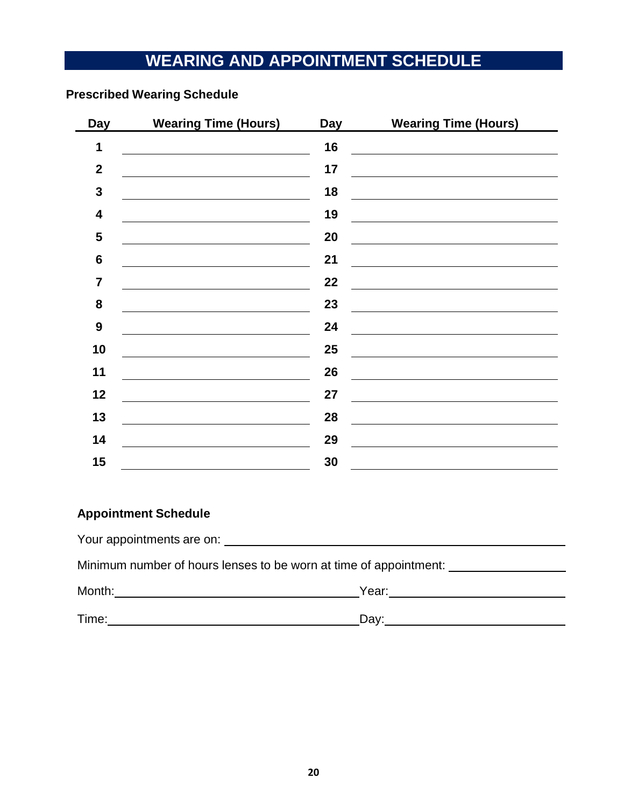# **WEARING AND APPOINTMENT SCHEDULE**

#### **Prescribed Wearing Schedule**

| <b>Day</b>       | <b>Wearing Time (Hours)</b> | Day | <b>Wearing Time (Hours)</b> |
|------------------|-----------------------------|-----|-----------------------------|
| 1                |                             | 16  |                             |
| $\mathbf{2}$     |                             | 17  |                             |
| $\mathbf{3}$     |                             | 18  |                             |
| 4                |                             | 19  |                             |
| 5                |                             | 20  |                             |
| $6\phantom{1}6$  |                             | 21  |                             |
| $\overline{7}$   |                             | 22  |                             |
| 8                |                             | 23  |                             |
| $\boldsymbol{9}$ |                             | 24  |                             |
| 10               |                             | 25  |                             |
| 11               |                             | 26  |                             |
| 12               |                             | 27  |                             |
| 13               |                             | 28  |                             |
| 14               |                             | 29  |                             |
| 15               |                             | 30  |                             |

#### **Appointment Schedule**

| Minimum number of hours lenses to be worn at time of appointment: |       |  |  |  |
|-------------------------------------------------------------------|-------|--|--|--|
| Month:                                                            | Year: |  |  |  |
| Time:                                                             | Dav:  |  |  |  |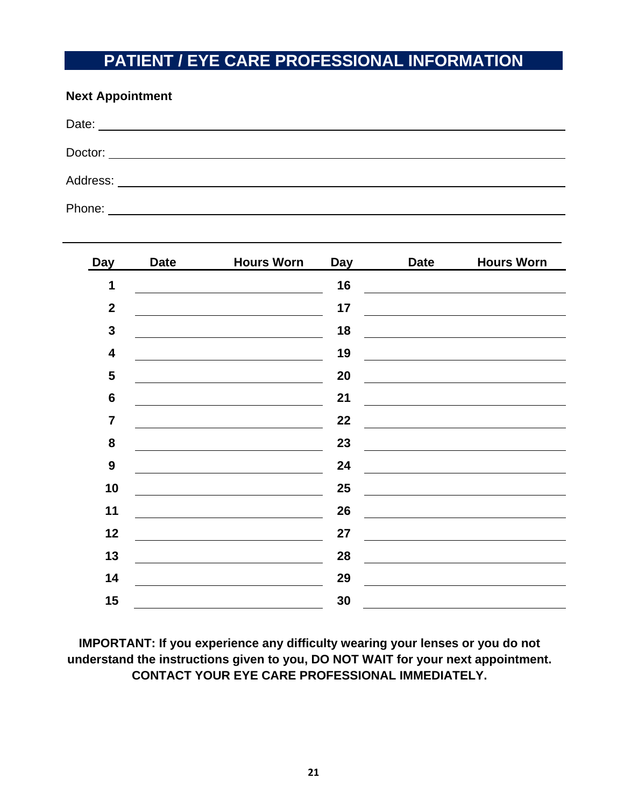## **PATIENT / EYE CARE PROFESSIONAL INFORMATION**

| <b>Next Appointment</b> |                         |  |  |
|-------------------------|-------------------------|--|--|
|                         |                         |  |  |
|                         | Doctor: $\qquad \qquad$ |  |  |
|                         |                         |  |  |
| Phone:                  |                         |  |  |

| <b>Day</b>              | <b>Date</b> | <b>Hours Worn</b> | <b>Day</b> | <b>Date</b> | <b>Hours Worn</b> |
|-------------------------|-------------|-------------------|------------|-------------|-------------------|
| 1                       |             |                   | 16         |             |                   |
| $\mathbf{2}$            |             |                   | 17         |             |                   |
| $\mathbf{3}$            |             |                   | 18         |             |                   |
| $\overline{\mathbf{4}}$ |             |                   | 19         |             |                   |
| $\overline{\mathbf{5}}$ |             |                   | 20         |             |                   |
| $\boldsymbol{6}$        |             |                   | 21         |             |                   |
| $\overline{7}$          |             |                   | 22         |             |                   |
| ${\bf 8}$               |             |                   | 23         |             |                   |
| $\boldsymbol{9}$        |             |                   | 24         |             |                   |
| 10                      |             |                   | 25         |             |                   |
| 11                      |             |                   | 26         |             |                   |
| 12                      |             |                   | 27         |             |                   |
| 13                      |             |                   | 28         |             |                   |
| 14                      |             |                   | 29         |             |                   |
| 15                      |             |                   | 30         |             |                   |

**IMPORTANT: If you experience any difficulty wearing your lenses or you do not understand the instructions given to you, DO NOT WAIT for your next appointment. CONTACT YOUR EYE CARE PROFESSIONAL IMMEDIATELY.**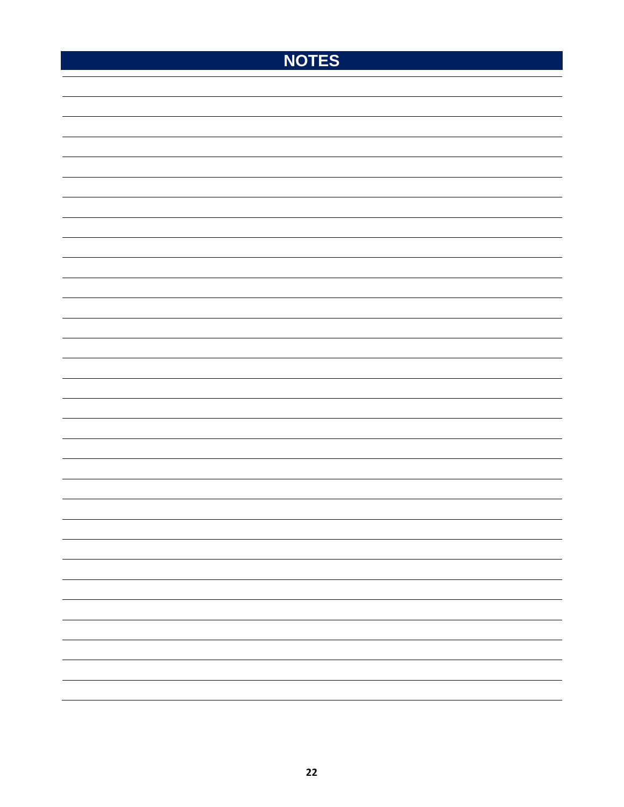## **NOTES**